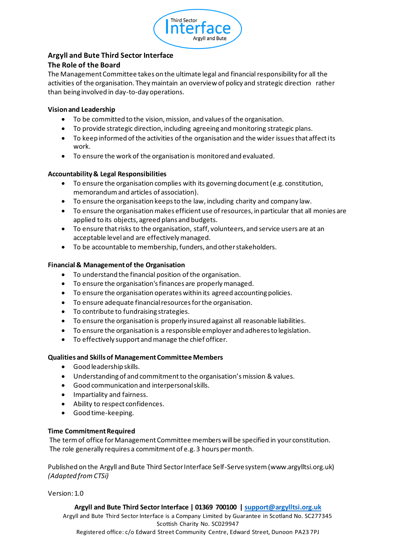

# **Argyll and Bute Third Sector Interface**

## **The Role of the Board**

The Management Committee takes on the ultimate legal and financial responsibility for all the activities of the organisation. They maintain an overview of policy and strategic direction rather than being involved in day-to-day operations.

### **Vision and Leadership**

- To be committed to the vision, mission, and values of the organisation.
- To provide strategic direction, including agreeing and monitoring strategic plans.
- To keep informed of the activities of the organisation and the wider issues that affect its work.
- To ensure the work of the organisation is monitored and evaluated.

### **Accountability & Legal Responsibilities**

- To ensure the organisation complies with its governing document (e.g. constitution, memorandum and articles of association).
- To ensure the organisation keeps to the law, including charity and company law.
- To ensure the organisation makes efficient use of resources, in particular that all monies are applied to its objects, agreed plans and budgets.
- To ensure that risks to the organisation, staff, volunteers, and service users are at an acceptable level and are effectively managed.
- To be accountable to membership, funders, and other stakeholders.

### **Financial & Management of the Organisation**

- To understand the financial position of the organisation.
- To ensure the organisation's finances are properly managed.
- To ensure the organisation operates within its agreed accounting policies.
- To ensure adequate financial resources for the organisation.
- To contribute to fundraising strategies.
- To ensure the organisation is properly insured against all reasonable liabilities.
- To ensure the organisation is a responsible employer and adheres to legislation.
- To effectively support and manage the chief officer.

### **Qualities and Skills of Management Committee Members**

- Good leadership skills.
- Understanding of and commitment to the organisation's mission & values.
- Good communication and interpersonal skills.
- Impartiality and fairness.
- Ability to respect confidences.
- Good time-keeping.

### **Time Commitment Required**

The term of office for Management Committee members will be specified in your constitution. The role generally requires a commitment of e.g. 3 hours per month.

Published on the Argyll and Bute Third Sector Interface Self-Serve system(www.argylltsi.org.uk) *(Adapted from CTSi)*

Version: 1.0

### **Argyll and Bute Third Sector Interface | 01369 700100 | support@argylltsi.org.uk**

Argyll and Bute Third Sector Interface is a Company Limited by Guarantee in Scotland No. SC277345 Scottish Charity No. SC029947 Registered office: c/o Edward Street Community Centre, Edward Street, Dunoon PA23 7PJ